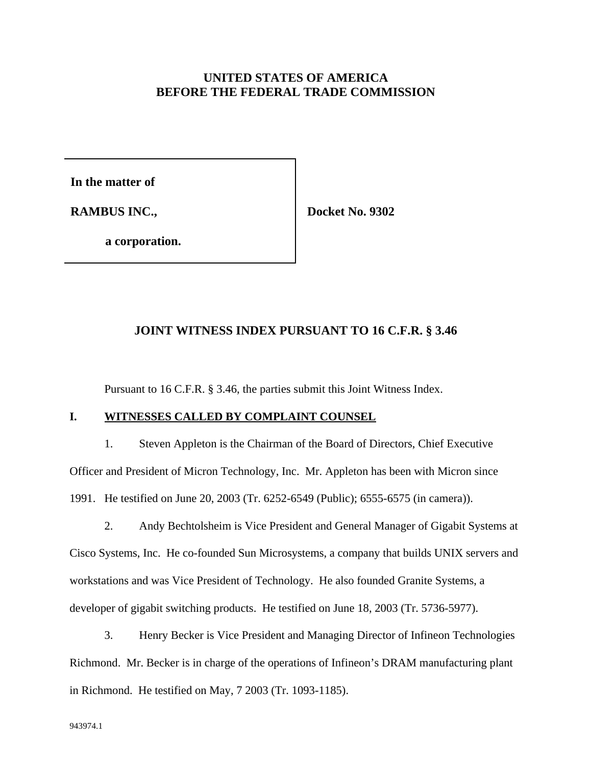# **UNITED STATES OF AMERICA BEFORE THE FEDERAL TRADE COMMISSION**

**In the matter of**

**RAMBUS INC.,** 

 **Docket No. 9302**

**a corporation.**

### **JOINT WITNESS INDEX PURSUANT TO 16 C.F.R. § 3.46**

Pursuant to 16 C.F.R. § 3.46, the parties submit this Joint Witness Index.

## **I. WITNESSES CALLED BY COMPLAINT COUNSEL**

1. Steven Appleton is the Chairman of the Board of Directors, Chief Executive Officer and President of Micron Technology, Inc. Mr. Appleton has been with Micron since 1991. He testified on June 20, 2003 (Tr. 6252-6549 (Public); 6555-6575 (in camera)).

2. Andy Bechtolsheim is Vice President and General Manager of Gigabit Systems at Cisco Systems, Inc. He co-founded Sun Microsystems, a company that builds UNIX servers and workstations and was Vice President of Technology. He also founded Granite Systems, a developer of gigabit switching products. He testified on June 18, 2003 (Tr. 5736-5977).

3. Henry Becker is Vice President and Managing Director of Infineon Technologies Richmond. Mr. Becker is in charge of the operations of Infineon's DRAM manufacturing plant in Richmond. He testified on May, 7 2003 (Tr. 1093-1185).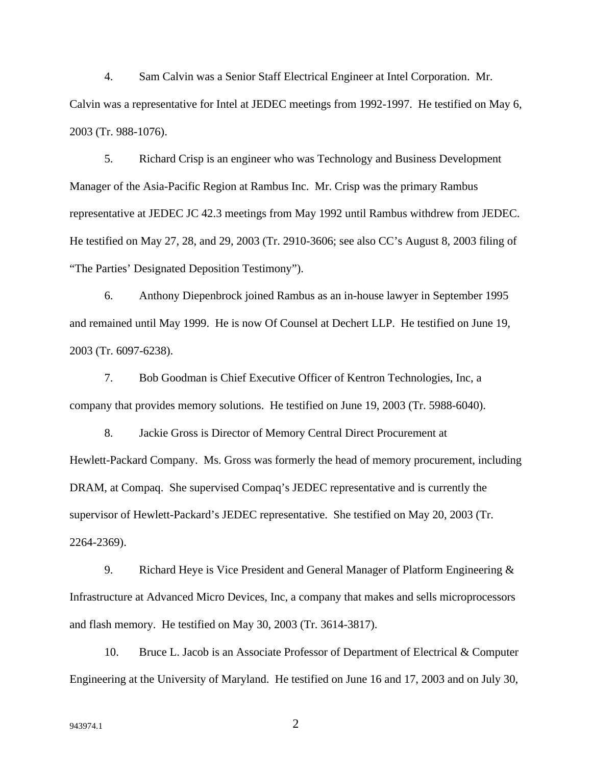4. Sam Calvin was a Senior Staff Electrical Engineer at Intel Corporation. Mr. Calvin was a representative for Intel at JEDEC meetings from 1992-1997. He testified on May 6, 2003 (Tr. 988-1076).

5. Richard Crisp is an engineer who was Technology and Business Development Manager of the Asia-Pacific Region at Rambus Inc. Mr. Crisp was the primary Rambus representative at JEDEC JC 42.3 meetings from May 1992 until Rambus withdrew from JEDEC. He testified on May 27, 28, and 29, 2003 (Tr. 2910-3606; see also CC's August 8, 2003 filing of "The Parties' Designated Deposition Testimony").

6. Anthony Diepenbrock joined Rambus as an in-house lawyer in September 1995 and remained until May 1999. He is now Of Counsel at Dechert LLP. He testified on June 19, 2003 (Tr. 6097-6238).

7. Bob Goodman is Chief Executive Officer of Kentron Technologies, Inc, a company that provides memory solutions. He testified on June 19, 2003 (Tr. 5988-6040).

8. Jackie Gross is Director of Memory Central Direct Procurement at Hewlett-Packard Company. Ms. Gross was formerly the head of memory procurement, including DRAM, at Compaq. She supervised Compaq's JEDEC representative and is currently the supervisor of Hewlett-Packard's JEDEC representative. She testified on May 20, 2003 (Tr. 2264-2369).

9. Richard Heye is Vice President and General Manager of Platform Engineering & Infrastructure at Advanced Micro Devices, Inc, a company that makes and sells microprocessors and flash memory. He testified on May 30, 2003 (Tr. 3614-3817).

10. Bruce L. Jacob is an Associate Professor of Department of Electrical & Computer Engineering at the University of Maryland. He testified on June 16 and 17, 2003 and on July 30,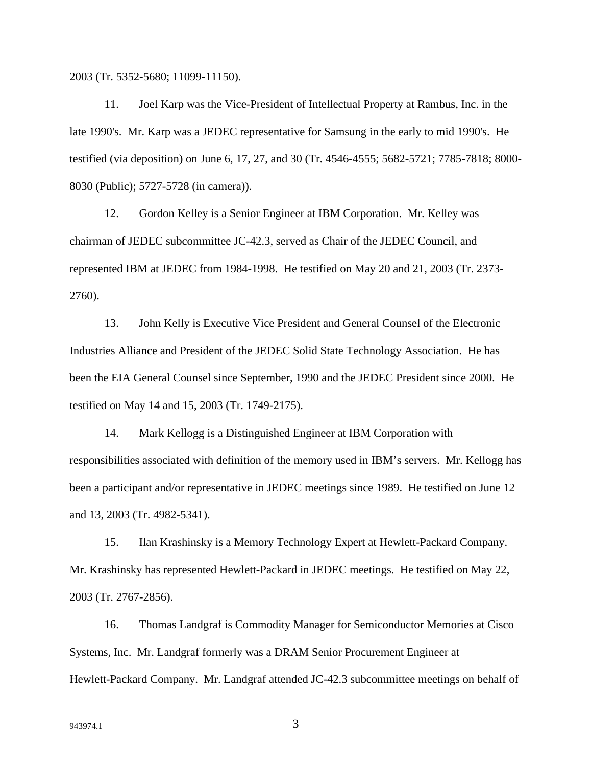2003 (Tr. 5352-5680; 11099-11150).

11. Joel Karp was the Vice-President of Intellectual Property at Rambus, Inc. in the late 1990's. Mr. Karp was a JEDEC representative for Samsung in the early to mid 1990's. He testified (via deposition) on June 6, 17, 27, and 30 (Tr. 4546-4555; 5682-5721; 7785-7818; 8000- 8030 (Public); 5727-5728 (in camera)).

12. Gordon Kelley is a Senior Engineer at IBM Corporation. Mr. Kelley was chairman of JEDEC subcommittee JC-42.3, served as Chair of the JEDEC Council, and represented IBM at JEDEC from 1984-1998. He testified on May 20 and 21, 2003 (Tr. 2373- 2760).

13. John Kelly is Executive Vice President and General Counsel of the Electronic Industries Alliance and President of the JEDEC Solid State Technology Association. He has been the EIA General Counsel since September, 1990 and the JEDEC President since 2000. He testified on May 14 and 15, 2003 (Tr. 1749-2175).

14. Mark Kellogg is a Distinguished Engineer at IBM Corporation with responsibilities associated with definition of the memory used in IBM's servers. Mr. Kellogg has been a participant and/or representative in JEDEC meetings since 1989. He testified on June 12 and 13, 2003 (Tr. 4982-5341).

15. Ilan Krashinsky is a Memory Technology Expert at Hewlett-Packard Company. Mr. Krashinsky has represented Hewlett-Packard in JEDEC meetings. He testified on May 22, 2003 (Tr. 2767-2856).

16. Thomas Landgraf is Commodity Manager for Semiconductor Memories at Cisco Systems, Inc. Mr. Landgraf formerly was a DRAM Senior Procurement Engineer at Hewlett-Packard Company. Mr. Landgraf attended JC-42.3 subcommittee meetings on behalf of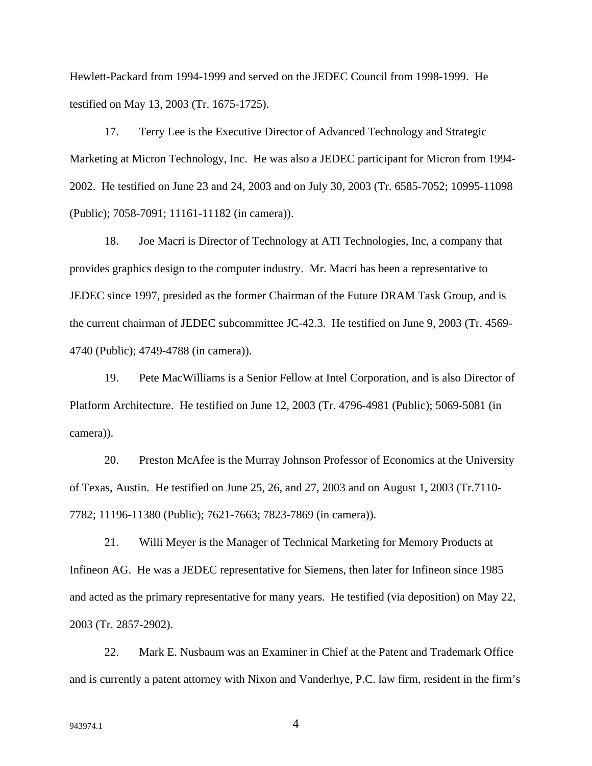Hewlett-Packard from 1994-1999 and served on the JEDEC Council from 1998-1999. He testified on May 13, 2003 (Tr. 1675-1725).

17. Terry Lee is the Executive Director of Advanced Technology and Strategic Marketing at Micron Technology, Inc. He was also a JEDEC participant for Micron from 1994- 2002. He testified on June 23 and 24, 2003 and on July 30, 2003 (Tr. 6585-7052; 10995-11098 (Public); 7058-7091; 11161-11182 (in camera)).

18. Joe Macri is Director of Technology at ATI Technologies, Inc, a company that provides graphics design to the computer industry. Mr. Macri has been a representative to JEDEC since 1997, presided as the former Chairman of the Future DRAM Task Group, and is the current chairman of JEDEC subcommittee JC-42.3. He testified on June 9, 2003 (Tr. 4569- 4740 (Public); 4749-4788 (in camera)).

19. Pete MacWilliams is a Senior Fellow at Intel Corporation, and is also Director of Platform Architecture. He testified on June 12, 2003 (Tr. 4796-4981 (Public); 5069-5081 (in camera)).

20. Preston McAfee is the Murray Johnson Professor of Economics at the University of Texas, Austin. He testified on June 25, 26, and 27, 2003 and on August 1, 2003 (Tr.7110- 7782; 11196-11380 (Public); 7621-7663; 7823-7869 (in camera)).

21. Willi Meyer is the Manager of Technical Marketing for Memory Products at Infineon AG. He was a JEDEC representative for Siemens, then later for Infineon since 1985 and acted as the primary representative for many years. He testified (via deposition) on May 22, 2003 (Tr. 2857-2902).

22. Mark E. Nusbaum was an Examiner in Chief at the Patent and Trademark Office and is currently a patent attorney with Nixon and Vanderhye, P.C. law firm, resident in the firm's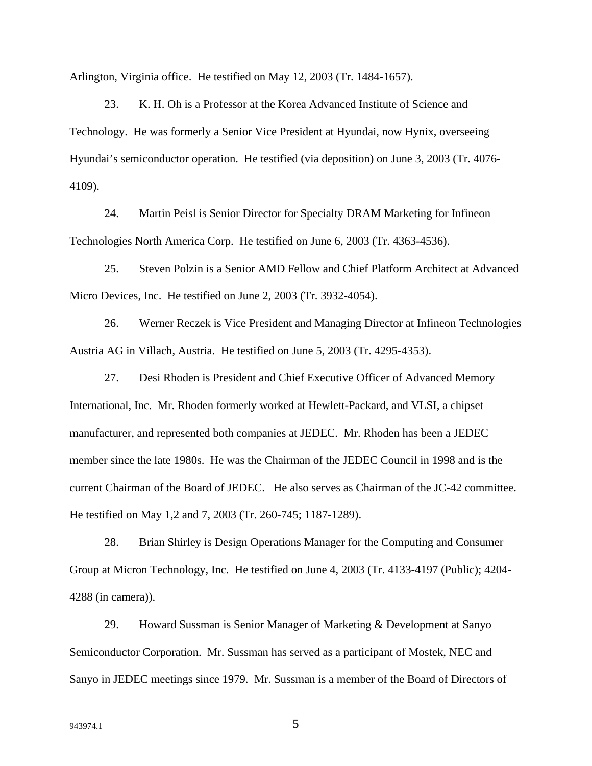Arlington, Virginia office. He testified on May 12, 2003 (Tr. 1484-1657).

23. K. H. Oh is a Professor at the Korea Advanced Institute of Science and Technology. He was formerly a Senior Vice President at Hyundai, now Hynix, overseeing Hyundai's semiconductor operation. He testified (via deposition) on June 3, 2003 (Tr. 4076- 4109).

24. Martin Peisl is Senior Director for Specialty DRAM Marketing for Infineon Technologies North America Corp. He testified on June 6, 2003 (Tr. 4363-4536).

25. Steven Polzin is a Senior AMD Fellow and Chief Platform Architect at Advanced Micro Devices, Inc. He testified on June 2, 2003 (Tr. 3932-4054).

26. Werner Reczek is Vice President and Managing Director at Infineon Technologies Austria AG in Villach, Austria. He testified on June 5, 2003 (Tr. 4295-4353).

27. Desi Rhoden is President and Chief Executive Officer of Advanced Memory International, Inc. Mr. Rhoden formerly worked at Hewlett-Packard, and VLSI, a chipset manufacturer, and represented both companies at JEDEC. Mr. Rhoden has been a JEDEC member since the late 1980s. He was the Chairman of the JEDEC Council in 1998 and is the current Chairman of the Board of JEDEC. He also serves as Chairman of the JC-42 committee. He testified on May 1,2 and 7, 2003 (Tr. 260-745; 1187-1289).

28. Brian Shirley is Design Operations Manager for the Computing and Consumer Group at Micron Technology, Inc. He testified on June 4, 2003 (Tr. 4133-4197 (Public); 4204- 4288 (in camera)).

29. Howard Sussman is Senior Manager of Marketing & Development at Sanyo Semiconductor Corporation. Mr. Sussman has served as a participant of Mostek, NEC and Sanyo in JEDEC meetings since 1979. Mr. Sussman is a member of the Board of Directors of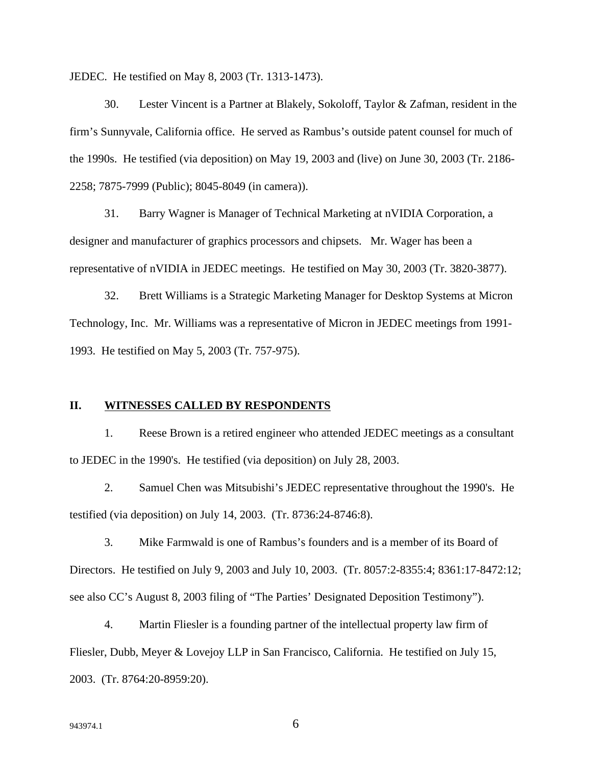JEDEC. He testified on May 8, 2003 (Tr. 1313-1473).

30. Lester Vincent is a Partner at Blakely, Sokoloff, Taylor & Zafman, resident in the firm's Sunnyvale, California office. He served as Rambus's outside patent counsel for much of the 1990s. He testified (via deposition) on May 19, 2003 and (live) on June 30, 2003 (Tr. 2186- 2258; 7875-7999 (Public); 8045-8049 (in camera)).

31. Barry Wagner is Manager of Technical Marketing at nVIDIA Corporation, a designer and manufacturer of graphics processors and chipsets. Mr. Wager has been a representative of nVIDIA in JEDEC meetings. He testified on May 30, 2003 (Tr. 3820-3877).

32. Brett Williams is a Strategic Marketing Manager for Desktop Systems at Micron Technology, Inc. Mr. Williams was a representative of Micron in JEDEC meetings from 1991- 1993. He testified on May 5, 2003 (Tr. 757-975).

#### **II. WITNESSES CALLED BY RESPONDENTS**

1. Reese Brown is a retired engineer who attended JEDEC meetings as a consultant to JEDEC in the 1990's. He testified (via deposition) on July 28, 2003.

2. Samuel Chen was Mitsubishi's JEDEC representative throughout the 1990's. He testified (via deposition) on July 14, 2003. (Tr. 8736:24-8746:8).

3. Mike Farmwald is one of Rambus's founders and is a member of its Board of Directors. He testified on July 9, 2003 and July 10, 2003. (Tr. 8057:2-8355:4; 8361:17-8472:12; see also CC's August 8, 2003 filing of "The Parties' Designated Deposition Testimony").

4. Martin Fliesler is a founding partner of the intellectual property law firm of Fliesler, Dubb, Meyer & Lovejoy LLP in San Francisco, California. He testified on July 15, 2003. (Tr. 8764:20-8959:20).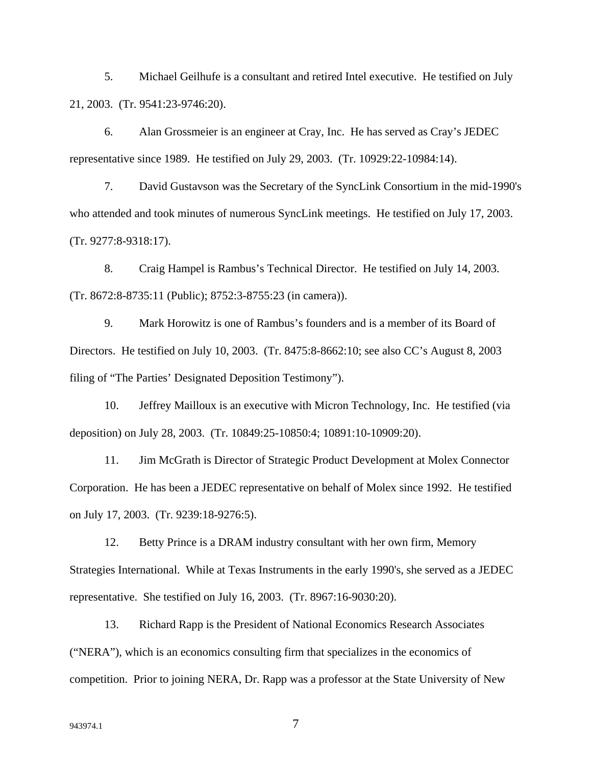5. Michael Geilhufe is a consultant and retired Intel executive. He testified on July 21, 2003. (Tr. 9541:23-9746:20).

6. Alan Grossmeier is an engineer at Cray, Inc. He has served as Cray's JEDEC representative since 1989. He testified on July 29, 2003. (Tr. 10929:22-10984:14).

7. David Gustavson was the Secretary of the SyncLink Consortium in the mid-1990's who attended and took minutes of numerous SyncLink meetings. He testified on July 17, 2003. (Tr. 9277:8-9318:17).

8. Craig Hampel is Rambus's Technical Director. He testified on July 14, 2003. (Tr. 8672:8-8735:11 (Public); 8752:3-8755:23 (in camera)).

9. Mark Horowitz is one of Rambus's founders and is a member of its Board of Directors. He testified on July 10, 2003. (Tr. 8475:8-8662:10; see also CC's August 8, 2003 filing of "The Parties' Designated Deposition Testimony").

10. Jeffrey Mailloux is an executive with Micron Technology, Inc. He testified (via deposition) on July 28, 2003. (Tr. 10849:25-10850:4; 10891:10-10909:20).

11. Jim McGrath is Director of Strategic Product Development at Molex Connector Corporation. He has been a JEDEC representative on behalf of Molex since 1992. He testified on July 17, 2003. (Tr. 9239:18-9276:5).

12. Betty Prince is a DRAM industry consultant with her own firm, Memory Strategies International. While at Texas Instruments in the early 1990's, she served as a JEDEC representative. She testified on July 16, 2003. (Tr. 8967:16-9030:20).

13. Richard Rapp is the President of National Economics Research Associates ("NERA"), which is an economics consulting firm that specializes in the economics of competition. Prior to joining NERA, Dr. Rapp was a professor at the State University of New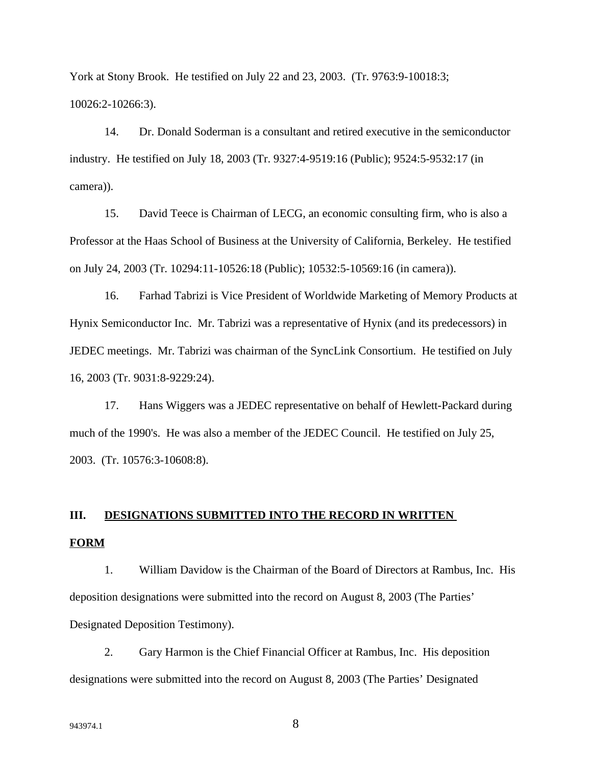York at Stony Brook. He testified on July 22 and 23, 2003. (Tr. 9763:9-10018:3; 10026:2-10266:3).

14. Dr. Donald Soderman is a consultant and retired executive in the semiconductor industry. He testified on July 18, 2003 (Tr. 9327:4-9519:16 (Public); 9524:5-9532:17 (in camera)).

15. David Teece is Chairman of LECG, an economic consulting firm, who is also a Professor at the Haas School of Business at the University of California, Berkeley. He testified on July 24, 2003 (Tr. 10294:11-10526:18 (Public); 10532:5-10569:16 (in camera)).

16. Farhad Tabrizi is Vice President of Worldwide Marketing of Memory Products at Hynix Semiconductor Inc. Mr. Tabrizi was a representative of Hynix (and its predecessors) in JEDEC meetings. Mr. Tabrizi was chairman of the SyncLink Consortium. He testified on July 16, 2003 (Tr. 9031:8-9229:24).

17. Hans Wiggers was a JEDEC representative on behalf of Hewlett-Packard during much of the 1990's. He was also a member of the JEDEC Council. He testified on July 25, 2003. (Tr. 10576:3-10608:8).

# **III. DESIGNATIONS SUBMITTED INTO THE RECORD IN WRITTEN FORM**

1. William Davidow is the Chairman of the Board of Directors at Rambus, Inc. His deposition designations were submitted into the record on August 8, 2003 (The Parties' Designated Deposition Testimony).

2. Gary Harmon is the Chief Financial Officer at Rambus, Inc. His deposition designations were submitted into the record on August 8, 2003 (The Parties' Designated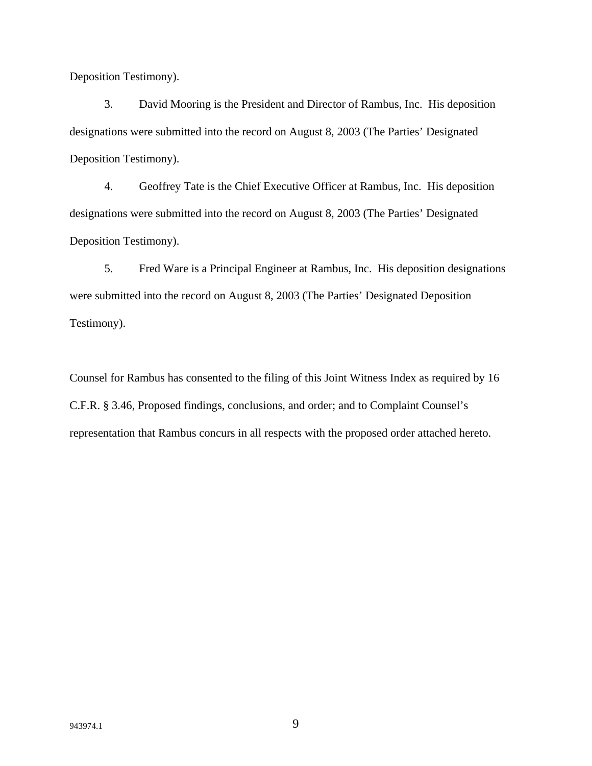Deposition Testimony).

3. David Mooring is the President and Director of Rambus, Inc. His deposition designations were submitted into the record on August 8, 2003 (The Parties' Designated Deposition Testimony).

4. Geoffrey Tate is the Chief Executive Officer at Rambus, Inc. His deposition designations were submitted into the record on August 8, 2003 (The Parties' Designated Deposition Testimony).

5. Fred Ware is a Principal Engineer at Rambus, Inc. His deposition designations were submitted into the record on August 8, 2003 (The Parties' Designated Deposition Testimony).

Counsel for Rambus has consented to the filing of this Joint Witness Index as required by 16 C.F.R. § 3.46, Proposed findings, conclusions, and order; and to Complaint Counsel's representation that Rambus concurs in all respects with the proposed order attached hereto.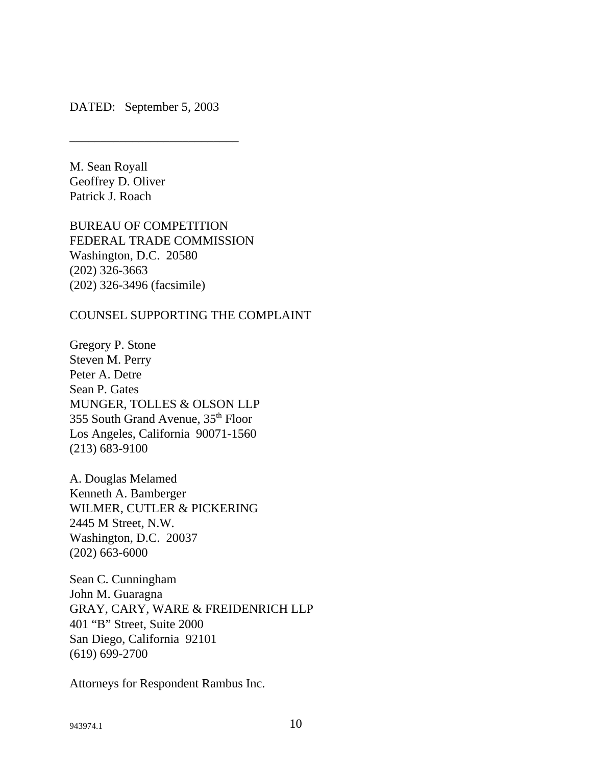DATED: September 5, 2003

\_\_\_\_\_\_\_\_\_\_\_\_\_\_\_\_\_\_\_\_\_\_\_\_\_\_\_

M. Sean Royall Geoffrey D. Oliver Patrick J. Roach

BUREAU OF COMPETITION FEDERAL TRADE COMMISSION Washington, D.C. 20580 (202) 326-3663 (202) 326-3496 (facsimile)

COUNSEL SUPPORTING THE COMPLAINT

Gregory P. Stone Steven M. Perry Peter A. Detre Sean P. Gates MUNGER, TOLLES & OLSON LLP 355 South Grand Avenue, 35<sup>th</sup> Floor Los Angeles, California 90071-1560 (213) 683-9100

A. Douglas Melamed Kenneth A. Bamberger WILMER, CUTLER & PICKERING 2445 M Street, N.W. Washington, D.C. 20037 (202) 663-6000

Sean C. Cunningham John M. Guaragna GRAY, CARY, WARE & FREIDENRICH LLP 401 "B" Street, Suite 2000 San Diego, California 92101 (619) 699-2700

Attorneys for Respondent Rambus Inc.